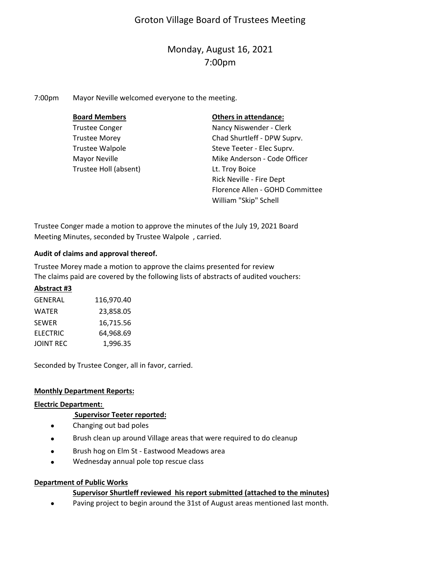# Groton Village Board of Trustees Meeting

# Monday, August 16, 2021 7:00pm

7:00pm Mayor Neville welcomed everyone to the meeting.

| <b>Board Members</b>   | <b>Others in attendance:</b>    |
|------------------------|---------------------------------|
| <b>Trustee Conger</b>  | Nancy Niswender - Clerk         |
| <b>Trustee Morey</b>   | Chad Shurtleff - DPW Suprv.     |
| <b>Trustee Walpole</b> | Steve Teeter - Elec Suprv.      |
| Mayor Neville          | Mike Anderson - Code Officer    |
| Trustee Holl (absent)  | Lt. Troy Boice                  |
|                        | Rick Neville - Fire Dept        |
|                        | Florence Allen - GOHD Committee |
|                        | William "Skip" Schell           |

Trustee Conger made a motion to approve the minutes of the July 19, 2021 Board Meeting Minutes, seconded by Trustee Walpole , carried.

## **Audit of claims and approval thereof.**

Trustee Morey made a motion to approve the claims presented for review The claims paid are covered by the following lists of abstracts of audited vouchers:

## **Abstract #3**

| <b>GENERAL</b>   | 116,970.40 |
|------------------|------------|
| <b>WATER</b>     | 23,858.05  |
| <b>SEWER</b>     | 16.715.56  |
| <b>ELECTRIC</b>  | 64,968.69  |
| <b>JOINT REC</b> | 1.996.35   |

Seconded by Trustee Conger, all in favor, carried.

# **Monthly Department Reports:**

## **Electric Department:**

## **Supervisor Teeter reported:**

- $\bullet$ Changing out bad poles
- $\bullet$ Brush clean up around Village areas that were required to do cleanup
- $\bullet$ Brush hog on Elm St ‐ Eastwood Meadows area
- $\bullet$ Wednesday annual pole top rescue class

## **Department of Public Works**

# **Supervisor Shurtleff reviewed his report submitted (attached to the minutes)**

 $\bullet$ Paving project to begin around the 31st of August areas mentioned last month.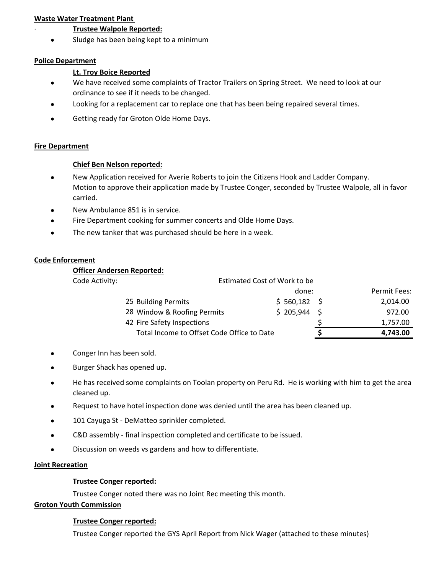## **Waste Water Treatment Plant**

## ∙ **Trustee Walpole Reported:**

 $\bullet$ Sludge has been being kept to a minimum

#### **Police Department**

## **Lt. Troy Boice Reported**

- $\bullet$ We have received some complaints of Tractor Trailers on Spring Street. We need to look at our ordinance to see if it needs to be changed.
- $\bullet$ Looking for a replacement car to replace one that has been being repaired several times.
- $\bullet$ Getting ready for Groton Olde Home Days.

#### **Fire Department**

#### **Chief Ben Nelson reported:**

- $\bullet$ New Application received for Averie Roberts to join the Citizens Hook and Ladder Company. Motion to approve their application made by Trustee Conger, seconded by Trustee Walpole, all in favor carried.
- $\bullet$ New Ambulance 851 is in service.
- $\bullet$ Fire Department cooking for summer concerts and Olde Home Days.
- $\bullet$ The new tanker that was purchased should be here in a week.

## **Code Enforcement**

#### **Officer Andersen Reported:**

| Code Activity: | Estimated Cost of Work to be               |               |  |              |
|----------------|--------------------------------------------|---------------|--|--------------|
|                |                                            | done:         |  | Permit Fees: |
|                | 25 Building Permits                        | $$560,182$ \$ |  | 2,014.00     |
|                | 28 Window & Roofing Permits                | $$205,944$ \$ |  | 972.00       |
|                | 42 Fire Safety Inspections                 |               |  | 1,757.00     |
|                | Total Income to Offset Code Office to Date |               |  | 4,743.00     |

- $\bullet$ Conger Inn has been sold.
- $\bullet$ Burger Shack has opened up.
- $\bullet$ He has received some complaints on Toolan property on Peru Rd. He is working with him to get the area cleaned up.
- $\bullet$ Request to have hotel inspection done was denied until the area has been cleaned up.
- $\bullet$ 101 Cayuga St ‐ DeMatteo sprinkler completed.
- $\bullet$ C&D assembly ‐ final inspection completed and certificate to be issued.
- $\bullet$ Discussion on weeds vs gardens and how to differentiate.

## **Joint Recreation**

## **Trustee Conger reported:**

Trustee Conger noted there was no Joint Rec meeting this month.

#### **Groton Youth Commission**

#### **Trustee Conger reported:**

Trustee Conger reported the GYS April Report from Nick Wager (attached to these minutes)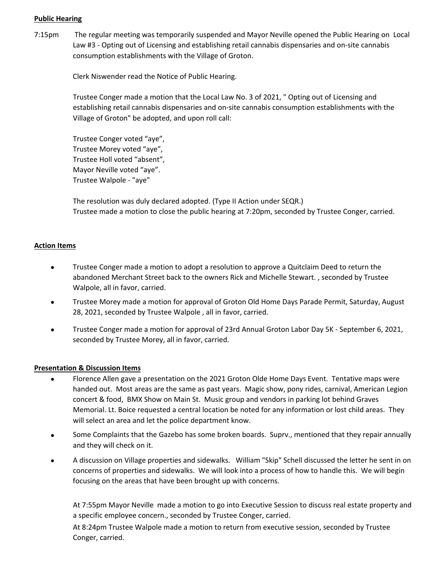## **Public Hearing**

7:15pm The regular meeting was temporarily suspended and Mayor Neville opened the Public Hearing on Local Law #3 ‐ Opting out of Licensing and establishing retail cannabis dispensaries and on‐site cannabis consumption establishments with the Village of Groton.

Clerk Niswender read the Notice of Public Hearing.

Trustee Conger made a motion that the Local Law No. 3 of 2021, " Opting out of Licensing and establishing retail cannabis dispensaries and on‐site cannabis consumption establishments with the Village of Groton" be adopted, and upon roll call:

Trustee Conger voted "aye", Trustee Morey voted "aye", Trustee Holl voted "absent", Mayor Neville voted "aye". Trustee Walpole ‐ "aye"

The resolution was duly declared adopted. (Type II Action under SEQR.) Trustee made a motion to close the public hearing at 7:20pm, seconded by Trustee Conger, carried.

## **Action Items**

- $\bullet$ Trustee Conger made a motion to adopt a resolution to approve a Quitclaim Deed to return the abandoned Merchant Street back to the owners Rick and Michelle Stewart. , seconded by Trustee Walpole, all in favor, carried.
- $\bullet$ Trustee Morey made a motion for approval of Groton Old Home Days Parade Permit, Saturday, August 28, 2021, seconded by Trustee Walpole , all in favor, carried.
- $\bullet$ Trustee Conger made a motion for approval of 23rd Annual Groton Labor Day 5K ‐ September 6, 2021, seconded by Trustee Morey, all in favor, carried.

## **Presentation & Discussion Items**

- $\bullet$ Florence Allen gave a presentation on the 2021 Groton Olde Home Days Event. Tentative maps were handed out. Most areas are the same as past years. Magic show, pony rides, carnival, American Legion concert & food, BMX Show on Main St. Music group and vendors in parking lot behind Graves Memorial. Lt. Boice requested a central location be noted for any information or lost child areas. They will select an area and let the police department know.
- $\bullet$ Some Complaints that the Gazebo has some broken boards. Suprv., mentioned that they repair annually and they will check on it.
- $\bullet$ A discussion on Village properties and sidewalks. William "Skip" Schell discussed the letter he sent in on concerns of properties and sidewalks. We will look into a process of how to handle this. We will begin focusing on the areas that have been brought up with concerns.

At 7:55pm Mayor Neville made a motion to go into Executive Session to discuss real estate property and a specific employee concern., seconded by Trustee Conger, carried.

At 8:24pm Trustee Walpole made a motion to return from executive session, seconded by Trustee Conger, carried.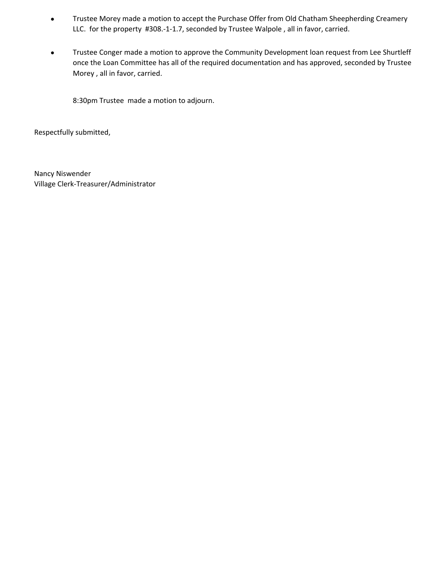- $\bullet$ Trustee Morey made a motion to accept the Purchase Offer from Old Chatham Sheepherding Creamery LLC. for the property #308.-1-1.7, seconded by Trustee Walpole, all in favor, carried.
- $\bullet$ Trustee Conger made a motion to approve the Community Development loan request from Lee Shurtleff once the Loan Committee has all of the required documentation and has approved, seconded by Trustee Morey , all in favor, carried.

8:30pm Trustee made a motion to adjourn.

Respectfully submitted,

Village Clerk‐Treasurer/Administrator Nancy Niswender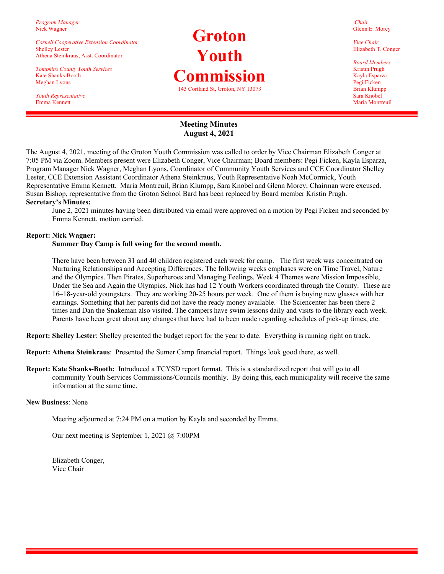*Program Manager*  Nick Wagner

*Cornell Cooperative Extension Coordinator*  Shelley Lester Athena Steinkraus, Asst. Coordinator

*Tompkins County Youth Services*  Kate Shanks-Booth Meghan Lyons

*Youth Representative*  Emma Kennett

# **Groton Youth Commission**  143 Cortland St, Groton, NY 13073

*Chair*  Glenn E. Morey

*Vice Chair*  Elizabeth T. Conger

*Board Members*  Kristin Prugh Kayla Esparza Pegi Ficken Brian Klumpp Sara Knobel Maria Montreuil

## **Meeting Minutes August 4, 2021**

The August 4, 2021, meeting of the Groton Youth Commission was called to order by Vice Chairman Elizabeth Conger at 7:05 PM via Zoom. Members present were Elizabeth Conger, Vice Chairman; Board members: Pegi Ficken, Kayla Esparza, Program Manager Nick Wagner, Meghan Lyons, Coordinator of Community Youth Services and CCE Coordinator Shelley Lester, CCE Extension Assistant Coordinator Athena Steinkraus, Youth Representative Noah McCormick, Youth Representative Emma Kennett. Maria Montreuil, Brian Klumpp, Sara Knobel and Glenn Morey, Chairman were excused. Susan Bishop, representative from the Groton School Bard has been replaced by Board member Kristin Prugh. **Secretary's Minutes:** 

June 2, 2021 minutes having been distributed via email were approved on a motion by Pegi Ficken and seconded by Emma Kennett, motion carried.

#### **Report: Nick Wagner:**

#### **Summer Day Camp is full swing for the second month.**

 There have been between 31 and 40 children registered each week for camp. The first week was concentrated on Nurturing Relationships and Accepting Differences. The following weeks emphases were on Time Travel, Nature and the Olympics. Then Pirates, Superheroes and Managing Feelings. Week 4 Themes were Mission Impossible, Under the Sea and Again the Olympics. Nick has had 12 Youth Workers coordinated through the County. These are 16–18-year-old youngsters. They are working 20-25 hours per week. One of them is buying new glasses with her earnings. Something that her parents did not have the ready money available. The Sciencenter has been there 2 times and Dan the Snakeman also visited. The campers have swim lessons daily and visits to the library each week. Parents have been great about any changes that have had to been made regarding schedules of pick-up times, etc.

**Report: Shelley Lester**: Shelley presented the budget report for the year to date. Everything is running right on track.

**Report: Athena Steinkraus**: Presented the Sumer Camp financial report. Things look good there, as well.

**Report: Kate Shanks-Booth:** Introduced a TCYSD report format. This is a standardized report that will go to all community Youth Services Commissions/Councils monthly. By doing this, each municipality will receive the same information at the same time.

#### **New Business**: None

Meeting adjourned at 7:24 PM on a motion by Kayla and seconded by Emma.

Our next meeting is September 1, 2021 @ 7:00PM

 Elizabeth Conger, Vice Chair